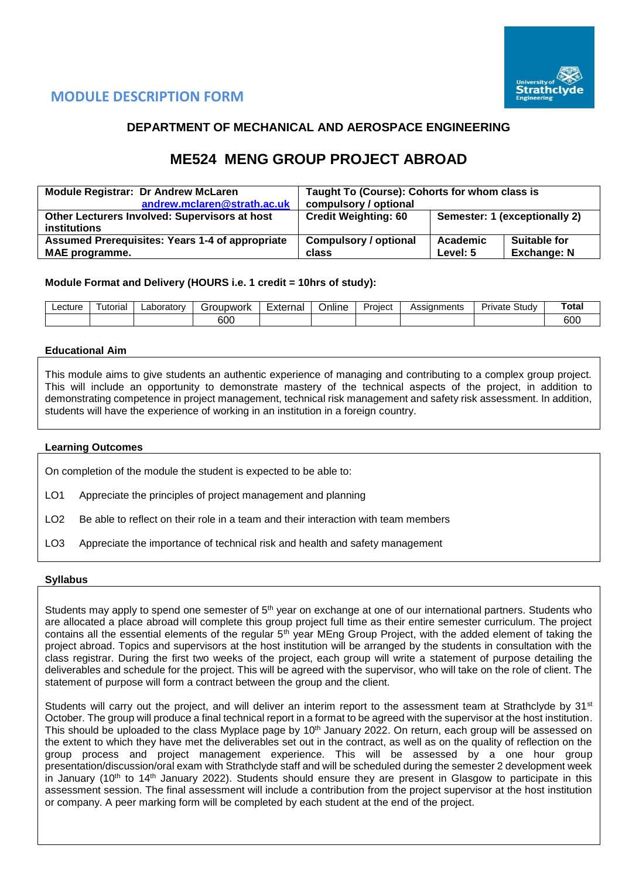

# **MODULE DESCRIPTION FORM**

## **DEPARTMENT OF MECHANICAL AND AEROSPACE ENGINEERING**

# **ME524 MENG GROUP PROJECT ABROAD**

| <b>Module Registrar: Dr Andrew McLaren</b>             | Taught To (Course): Cohorts for whom class is |                                 |  |  |  |  |
|--------------------------------------------------------|-----------------------------------------------|---------------------------------|--|--|--|--|
| andrew.mclaren@strath.ac.uk                            | compulsory / optional                         |                                 |  |  |  |  |
| Other Lecturers Involved: Supervisors at host          | <b>Credit Weighting: 60</b>                   | Semester: 1 (exceptionally 2)   |  |  |  |  |
| <i>institutions</i>                                    |                                               |                                 |  |  |  |  |
| <b>Assumed Prerequisites: Years 1-4 of appropriate</b> | <b>Compulsory / optional</b>                  | <b>Suitable for</b><br>Academic |  |  |  |  |
| <b>MAE</b> programme.                                  | <b>Exchange: N</b><br>Level: 5<br>class       |                                 |  |  |  |  |

### **Module Format and Delivery (HOURS i.e. 1 credit = 10hrs of study):**

| _ecture | utorial | _aboratorv | Groupwork |  | External<br><b>Jnline</b> |  | Assianments | $\mathbf{C}$<br>Private<br>study | <b>Total</b>  |
|---------|---------|------------|-----------|--|---------------------------|--|-------------|----------------------------------|---------------|
|         |         |            | 600       |  |                           |  |             |                                  | $\sim$<br>ουυ |

#### **Educational Aim**

This module aims to give students an authentic experience of managing and contributing to a complex group project. This will include an opportunity to demonstrate mastery of the technical aspects of the project, in addition to demonstrating competence in project management, technical risk management and safety risk assessment. In addition, students will have the experience of working in an institution in a foreign country.

#### **Learning Outcomes**

On completion of the module the student is expected to be able to:

- LO1 Appreciate the principles of project management and planning
- LO<sub>2</sub> Be able to reflect on their role in a team and their interaction with team members
- LO3 Appreciate the importance of technical risk and health and safety management

#### **Syllabus**

Students may apply to spend one semester of 5<sup>th</sup> year on exchange at one of our international partners. Students who are allocated a place abroad will complete this group project full time as their entire semester curriculum. The project contains all the essential elements of the regular 5<sup>th</sup> year MEng Group Project, with the added element of taking the project abroad. Topics and supervisors at the host institution will be arranged by the students in consultation with the class registrar. During the first two weeks of the project, each group will write a statement of purpose detailing the deliverables and schedule for the project. This will be agreed with the supervisor, who will take on the role of client. The statement of purpose will form a contract between the group and the client.

Students will carry out the project, and will deliver an interim report to the assessment team at Strathclyde by 31<sup>st</sup> October. The group will produce a final technical report in a format to be agreed with the supervisor at the host institution. This should be uploaded to the class Myplace page by 10<sup>th</sup> January 2022. On return, each group will be assessed on the extent to which they have met the deliverables set out in the contract, as well as on the quality of reflection on the group process and project management experience. This will be assessed by a one hour group presentation/discussion/oral exam with Strathclyde staff and will be scheduled during the semester 2 development week in January (10<sup>th</sup> to 14<sup>th</sup> January 2022). Students should ensure they are present in Glasgow to participate in this assessment session. The final assessment will include a contribution from the project supervisor at the host institution or company. A peer marking form will be completed by each student at the end of the project.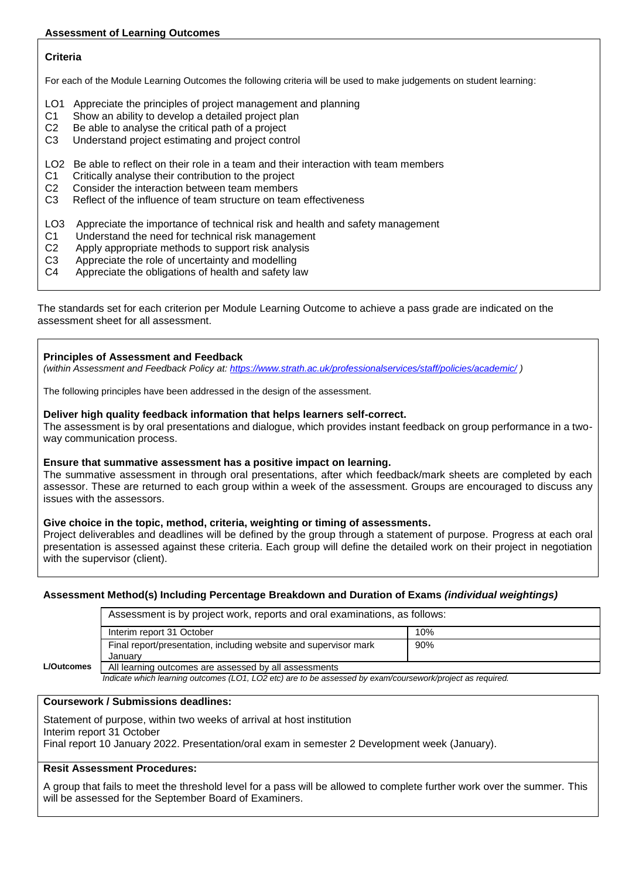## **Assessment of Learning Outcomes**

## **Criteria**

For each of the Module Learning Outcomes the following criteria will be used to make judgements on student learning:

- LO1 Appreciate the principles of project management and planning
- C1 Show an ability to develop a detailed project plan
- C2 Be able to analyse the critical path of a project
- C3 Understand project estimating and project control
- LO2 Be able to reflect on their role in a team and their interaction with team members
- C1 Critically analyse their contribution to the project
- C2 Consider the interaction between team members
- C3 Reflect of the influence of team structure on team effectiveness
- LO3 Appreciate the importance of technical risk and health and safety management
- C1 Understand the need for technical risk management
- C2 Apply appropriate methods to support risk analysis
- C3 Appreciate the role of uncertainty and modelling
- C4 Appreciate the obligations of health and safety law

The standards set for each criterion per Module Learning Outcome to achieve a pass grade are indicated on the assessment sheet for all assessment.

### **Principles of Assessment and Feedback**

*(within Assessment and Feedback Policy at: <https://www.strath.ac.uk/professionalservices/staff/policies/academic/> )*

The following principles have been addressed in the design of the assessment.

### **Deliver high quality feedback information that helps learners self-correct.**

The assessment is by oral presentations and dialogue, which provides instant feedback on group performance in a twoway communication process.

#### **Ensure that summative assessment has a positive impact on learning.**

The summative assessment in through oral presentations, after which feedback/mark sheets are completed by each assessor. These are returned to each group within a week of the assessment. Groups are encouraged to discuss any issues with the assessors.

## **Give choice in the topic, method, criteria, weighting or timing of assessments.**

Project deliverables and deadlines will be defined by the group through a statement of purpose. Progress at each oral presentation is assessed against these criteria. Each group will define the detailed work on their project in negotiation with the supervisor (client).

## **Assessment Method(s) Including Percentage Breakdown and Duration of Exams** *(individual weightings)*

Assessment is by project work, reports and oral examinations, as follows:

|                   | Interim report 31 October                                        | 10% |
|-------------------|------------------------------------------------------------------|-----|
|                   | Final report/presentation, including website and supervisor mark | 90% |
|                   | January                                                          |     |
| <b>L/Outcomes</b> | All learning outcomes are assessed by all assessments            |     |

 *Indicate which learning outcomes (LO1, LO2 etc) are to be assessed by exam/coursework/project as required.*

## **Coursework / Submissions deadlines:**

Statement of purpose, within two weeks of arrival at host institution Interim report 31 October Final report 10 January 2022. Presentation/oral exam in semester 2 Development week (January).

### **Resit Assessment Procedures:**

A group that fails to meet the threshold level for a pass will be allowed to complete further work over the summer. This will be assessed for the September Board of Examiners.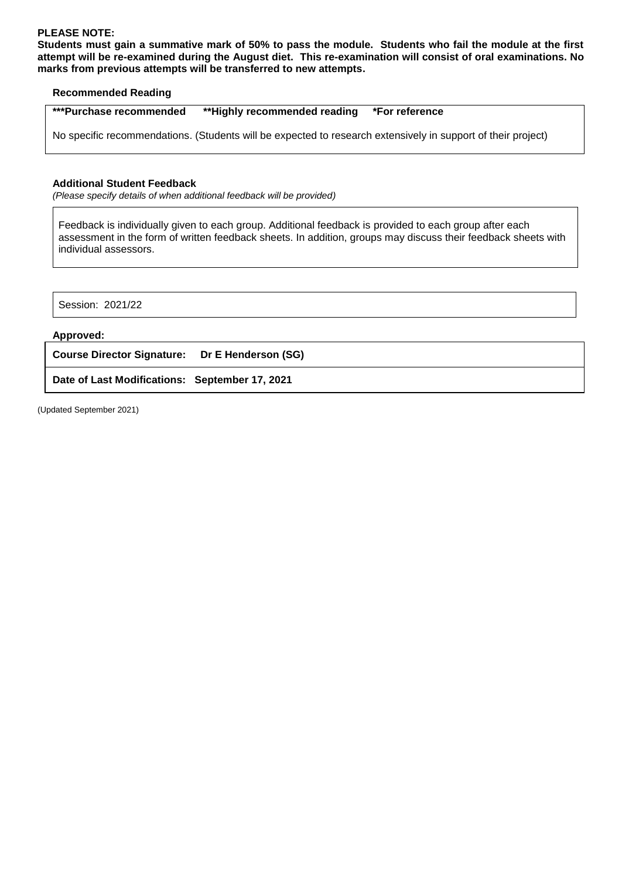## **PLEASE NOTE:**

**Students must gain a summative mark of 50% to pass the module. Students who fail the module at the first attempt will be re-examined during the August diet. This re-examination will consist of oral examinations. No marks from previous attempts will be transferred to new attempts.**

#### **Recommended Reading**

| ***Purchase recommended<br>**Highly recommended reading *For reference |  |
|------------------------------------------------------------------------|--|
|------------------------------------------------------------------------|--|

No specific recommendations. (Students will be expected to research extensively in support of their project)

#### **Additional Student Feedback**

*(Please specify details of when additional feedback will be provided)*

Feedback is individually given to each group. Additional feedback is provided to each group after each assessment in the form of written feedback sheets. In addition, groups may discuss their feedback sheets with individual assessors.

#### **Approved:**

**Course Director Signature: Dr E Henderson (SG)**

**Date of Last Modifications: September 17, 2021**

(Updated September 2021)